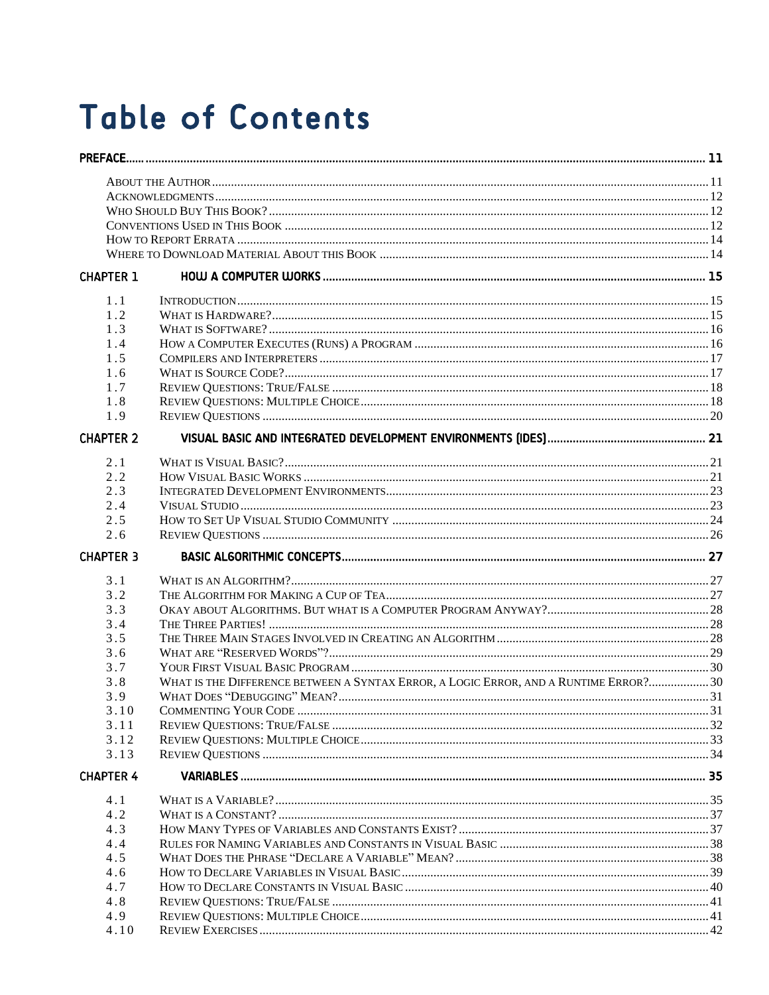## **Table of Contents**

| <b>CHAPTER 1</b> |                                                                                       |  |
|------------------|---------------------------------------------------------------------------------------|--|
| 1.1              |                                                                                       |  |
| 1.2              |                                                                                       |  |
| 1.3              |                                                                                       |  |
| 1.4              |                                                                                       |  |
| 1.5              |                                                                                       |  |
| 1.6              |                                                                                       |  |
| 1.7              |                                                                                       |  |
| 1.8              |                                                                                       |  |
| 1.9              |                                                                                       |  |
| <b>CHAPTER 2</b> |                                                                                       |  |
|                  |                                                                                       |  |
| 2.1<br>2.2       |                                                                                       |  |
| 2.3              |                                                                                       |  |
| 2.4              |                                                                                       |  |
| 2.5              |                                                                                       |  |
| 2.6              |                                                                                       |  |
| <b>CHAPTER 3</b> |                                                                                       |  |
|                  |                                                                                       |  |
| 3.1              |                                                                                       |  |
| 3.2              |                                                                                       |  |
| 3.3              |                                                                                       |  |
| 3.4              |                                                                                       |  |
| 3.5              |                                                                                       |  |
| 3.6              |                                                                                       |  |
| 3.7              |                                                                                       |  |
| 3.8              | WHAT IS THE DIFFERENCE BETWEEN A SYNTAX ERROR, A LOGIC ERROR, AND A RUNTIME ERROR? 30 |  |
| 3.9              |                                                                                       |  |
| 3.10             | <b>COMMENTING YOUR CODE</b>                                                           |  |
| 3.11             |                                                                                       |  |
| 3.12             |                                                                                       |  |
| 3.13             |                                                                                       |  |
| <b>CHAPTER 4</b> |                                                                                       |  |
| 4.1              |                                                                                       |  |
| 4.2              |                                                                                       |  |
| 4.3              |                                                                                       |  |
| 4.4              |                                                                                       |  |
| 4.5              |                                                                                       |  |
| 4.6              |                                                                                       |  |
| 4.7              |                                                                                       |  |
| 4.8              |                                                                                       |  |
| 4.9              |                                                                                       |  |
| 4.10             |                                                                                       |  |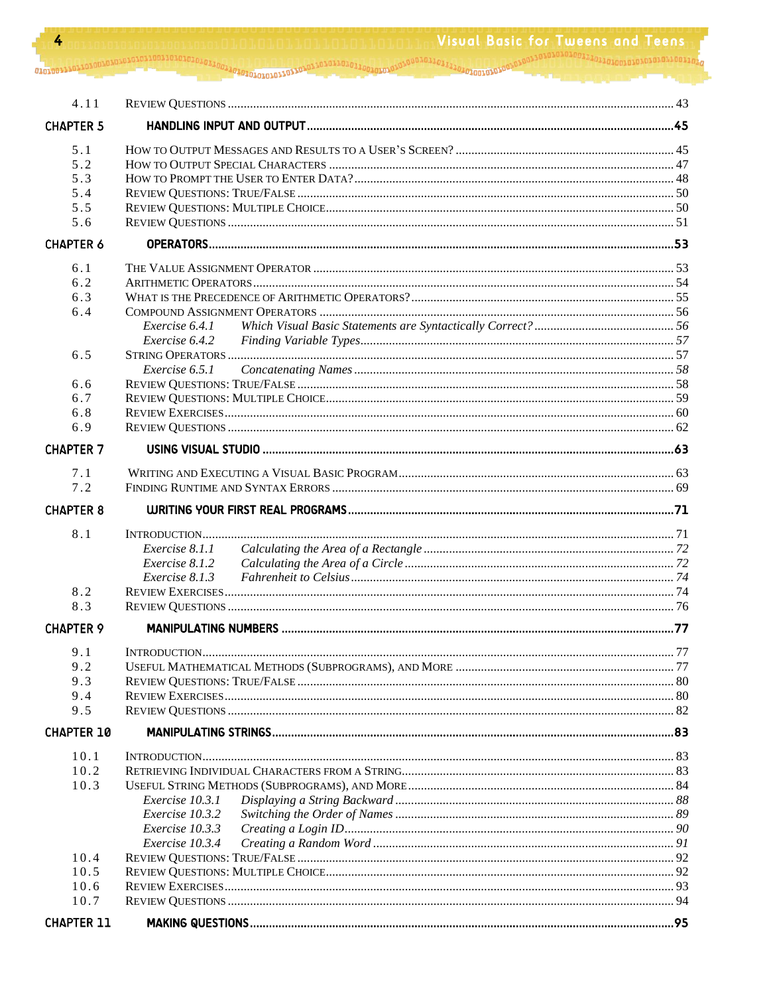| 4.11              |                 |  |
|-------------------|-----------------|--|
| <b>CHAPTER 5</b>  |                 |  |
| 5.1               |                 |  |
| 5.2               |                 |  |
| 5.3               |                 |  |
| 5.4               |                 |  |
| 5.5               |                 |  |
| 5.6               |                 |  |
| <b>CHAPTER 6</b>  |                 |  |
| 6.1               |                 |  |
| 6.2               |                 |  |
| 6.3               |                 |  |
| 6.4               |                 |  |
|                   | Exercise 6.4.1  |  |
|                   | Exercise 6.4.2  |  |
| 6.5               |                 |  |
|                   | Exercise 6.5.1  |  |
| 6.6               |                 |  |
| 6.7               |                 |  |
| 6.8<br>6.9        |                 |  |
|                   |                 |  |
| <b>CHAPTER 7</b>  |                 |  |
| 7.1               |                 |  |
| 7.2               |                 |  |
| <b>CHAPTER 8</b>  |                 |  |
| 8.1               |                 |  |
|                   | Exercise 8.1.1  |  |
|                   | Exercise 8.1.2  |  |
|                   | Exercise 8.1.3  |  |
| 8.2               |                 |  |
| 8.3               |                 |  |
| <b>CHAPTER 9</b>  |                 |  |
| 9.1               |                 |  |
| 9.2               |                 |  |
| 9.3               |                 |  |
| 9.4               |                 |  |
| 9.5               |                 |  |
| <b>CHAPTER 10</b> |                 |  |
| 10.1              |                 |  |
| 10.2              |                 |  |
| 10.3              |                 |  |
|                   | Exercise 10.3.1 |  |
|                   | Exercise 10.3.2 |  |
|                   | Exercise 10.3.3 |  |
|                   | Exercise 10.3.4 |  |
| 10.4              |                 |  |
| 10.5              |                 |  |
| 10.6              |                 |  |
| 10.7              |                 |  |
| <b>CHAPTER 11</b> |                 |  |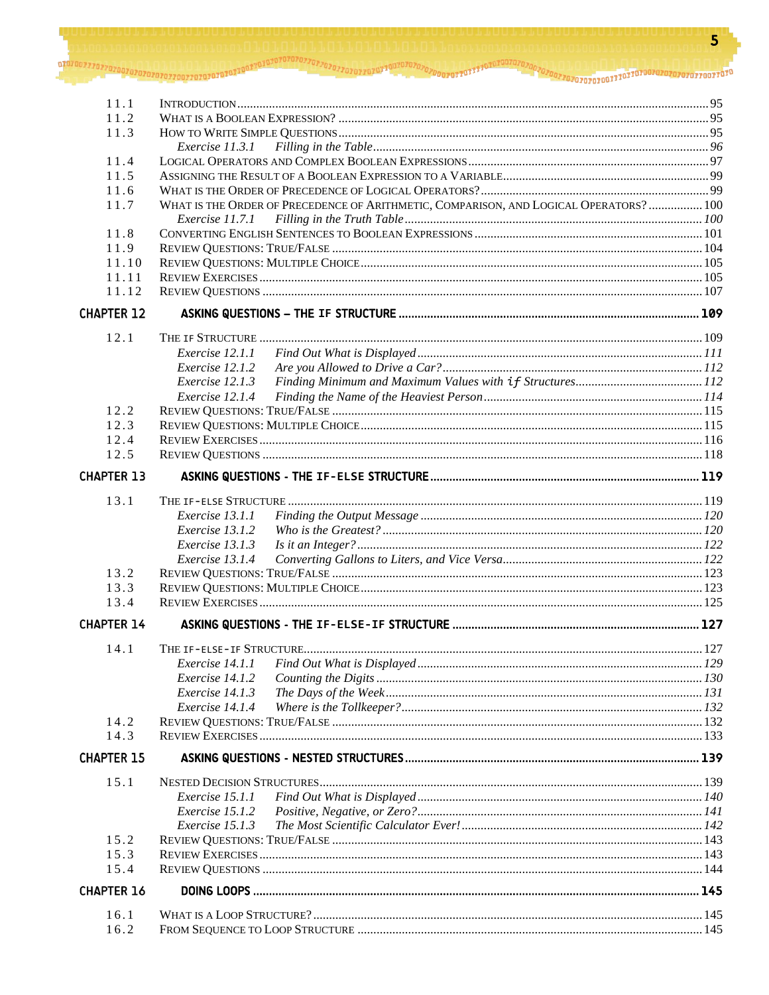| 11.1              |                                                                                        |  |
|-------------------|----------------------------------------------------------------------------------------|--|
| 11.2              |                                                                                        |  |
| 11.3              |                                                                                        |  |
|                   | Exercise 11.3.1                                                                        |  |
| 11.4              |                                                                                        |  |
| 11.5              |                                                                                        |  |
| 11.6              |                                                                                        |  |
| 11.7              | WHAT IS THE ORDER OF PRECEDENCE OF ARITHMETIC, COMPARISON, AND LOGICAL OPERATORS?  100 |  |
|                   | Exercise 11.7.1                                                                        |  |
| 11.8              |                                                                                        |  |
| 11.9              |                                                                                        |  |
| 11.10             |                                                                                        |  |
| 11.11             |                                                                                        |  |
| 11.12             |                                                                                        |  |
| <b>CHAPTER 12</b> |                                                                                        |  |
| 12.1              |                                                                                        |  |
|                   | Exercise 12.1.1                                                                        |  |
|                   | Exercise 12.1.2                                                                        |  |
|                   | Exercise 12.1.3                                                                        |  |
|                   | Exercise 12.1.4                                                                        |  |
| 12.2              |                                                                                        |  |
| 12.3              |                                                                                        |  |
| 12.4              |                                                                                        |  |
| 12.5              |                                                                                        |  |
| <b>CHAPTER 13</b> |                                                                                        |  |
| 13.1              |                                                                                        |  |
|                   | Exercise 13.1.1                                                                        |  |
|                   | Exercise 13.1.2                                                                        |  |
|                   | Exercise 13.1.3                                                                        |  |
|                   | Exercise 13.1.4                                                                        |  |
| 13.2              |                                                                                        |  |
| 13.3              |                                                                                        |  |
| 13.4              |                                                                                        |  |
|                   |                                                                                        |  |
| <b>CHAPTER 14</b> |                                                                                        |  |
| 14.1              |                                                                                        |  |
|                   | Exercise 14.1.1                                                                        |  |
|                   | Exercise 14.1.2                                                                        |  |
|                   | Exercise 14.1.3                                                                        |  |
|                   | Exercise 14.1.4                                                                        |  |
| 14.2              |                                                                                        |  |
| 14.3              |                                                                                        |  |
| <b>CHAPTER 15</b> |                                                                                        |  |
| 15.1              |                                                                                        |  |
|                   | Exercise 15.1.1                                                                        |  |
|                   | Exercise 15.1.2                                                                        |  |
|                   | Exercise 15.1.3                                                                        |  |
| 15.2              |                                                                                        |  |
| 15.3              |                                                                                        |  |
| 15.4              |                                                                                        |  |
| <b>CHAPTER 16</b> |                                                                                        |  |
| 16.1              |                                                                                        |  |
| 16.2              |                                                                                        |  |
|                   |                                                                                        |  |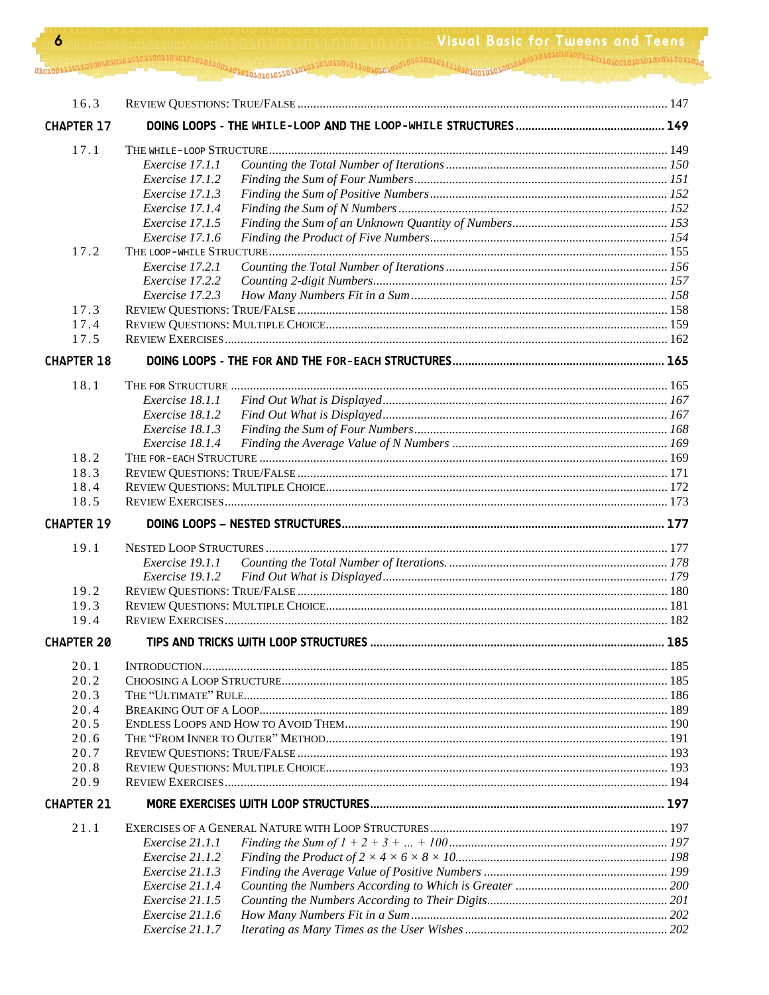$\bullet$  . The communication of the communication  $\sigma_{1,1}$  ,  $\sigma_{2,2}$  ,  $\sigma_{3,3}$  ,  $\sigma_{4,2}$  ,  $\sigma_{5,3}$  ,  $\sigma_{6,4}$  ,  $\sigma_{7,2}$  ,  $\sigma_{8,3}$  ,  $\sigma_{9,4}$  ,  $\sigma_{1,5}$  ,  $\sigma_{1,6}$  ,  $\sigma_{1,7}$  ,  $\sigma_{2,6}$  ,  $\sigma_{3,7}$  ,  $\sigma_{4,7$ 

| 16.3              |                                    |  |
|-------------------|------------------------------------|--|
| <b>CHAPTER 17</b> |                                    |  |
| 17.1              |                                    |  |
|                   | Exercise 17.1.1                    |  |
|                   | Exercise 17.1.2                    |  |
|                   | Exercise 17.1.3                    |  |
|                   | Exercise 17.1.4                    |  |
|                   | Exercise 17.1.5                    |  |
|                   | Exercise 17.1.6                    |  |
| 17.2              |                                    |  |
|                   | Exercise 17.2.1                    |  |
|                   | Exercise 17.2.2                    |  |
|                   | Exercise 17.2.3                    |  |
| 17.3              |                                    |  |
| 17.4              |                                    |  |
| 17.5              |                                    |  |
| <b>CHAPTER 18</b> |                                    |  |
| 18.1              |                                    |  |
|                   | Exercise 18.1.1                    |  |
|                   | Exercise 18.1.2                    |  |
|                   | Exercise 18.1.3                    |  |
|                   | Exercise 18.1.4                    |  |
| 18.2              |                                    |  |
| 18.3              |                                    |  |
| 18.4              |                                    |  |
| 18.5              |                                    |  |
| <b>CHAPTER 19</b> |                                    |  |
| 19.1              |                                    |  |
|                   | Exercise 19.1.1                    |  |
|                   | Exercise 19.1.2                    |  |
| 19.2              |                                    |  |
| 19.3              |                                    |  |
| 19.4              |                                    |  |
| <b>CHAPTER 20</b> |                                    |  |
| 20.1              |                                    |  |
| 20.2              |                                    |  |
| 20.3              |                                    |  |
| 20.4              |                                    |  |
| 20.5              |                                    |  |
| 20.6              |                                    |  |
| 20.7              |                                    |  |
| 20.8              |                                    |  |
| 20.9              |                                    |  |
| <b>CHAPTER 21</b> |                                    |  |
| 21.1              |                                    |  |
|                   | Exercise 21.1.1                    |  |
|                   | Exercise 21.1.2                    |  |
|                   | Exercise 21.1.3                    |  |
|                   | Exercise 21.1.4                    |  |
|                   | Exercise 21.1.5                    |  |
|                   | Exercise 21.1.6<br>Exercise 21.1.7 |  |
|                   |                                    |  |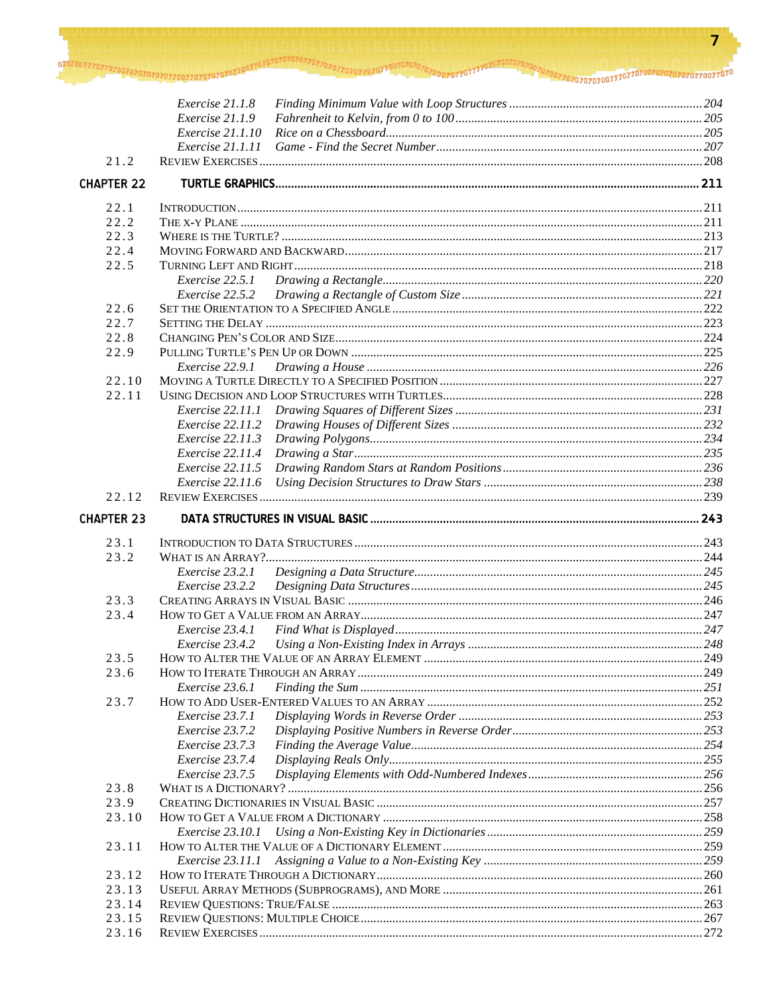|                   | Exercise 21.1.8                                |  |
|-------------------|------------------------------------------------|--|
|                   | Exercise 21.1.9                                |  |
|                   | Exercise 21.1.10                               |  |
|                   | Exercise 21.1.11                               |  |
| 21.2              |                                                |  |
| <b>CHAPTER 22</b> |                                                |  |
| 22.1              |                                                |  |
| 22.2              |                                                |  |
| 22.3              |                                                |  |
| 22.4              |                                                |  |
| 22.5              |                                                |  |
|                   | Exercise 22.5.1                                |  |
|                   | Exercise 22.5.2                                |  |
| 22.6              |                                                |  |
| 22.7              |                                                |  |
| 22.8              |                                                |  |
| 22.9              |                                                |  |
|                   | Exercise 22.9.1                                |  |
| 22.10             |                                                |  |
| 22.11             |                                                |  |
|                   | Exercise 22.11.1                               |  |
|                   | $Exercise\ 22.11.2$<br><i>Exercise</i> 22.11.3 |  |
|                   | <i>Exercise</i> 22.11.4                        |  |
|                   | Exercise 22.11.5                               |  |
|                   | Exercise $22.11.6$                             |  |
| 22.12             |                                                |  |
| <b>CHAPTER 23</b> |                                                |  |
|                   |                                                |  |
| 23.1              |                                                |  |
| 23.2              |                                                |  |
|                   | Exercise 23.2.1                                |  |
|                   | Exercise 23.2.2                                |  |
| 23.3              |                                                |  |
|                   |                                                |  |
| 23.4              |                                                |  |
|                   | Exercise 23.4.1                                |  |
|                   | Exercise 23.4.2                                |  |
| 23.5              |                                                |  |
| 23.6              |                                                |  |
|                   | Exercise 23.6.1                                |  |
| 23.7              |                                                |  |
|                   | Exercise 23.7.1                                |  |
|                   | Exercise 23.7.2                                |  |
|                   | Exercise 23.7.3                                |  |
|                   | Exercise 23.7.4                                |  |
|                   | Exercise 23.7.5                                |  |
| 23.8              |                                                |  |
| 23.9<br>23.10     |                                                |  |
|                   | Exercise 23.10.1                               |  |
| 23.11             |                                                |  |
|                   |                                                |  |
| 23.12             |                                                |  |
| 23.13             |                                                |  |
| 23.14             |                                                |  |
| 23.15             |                                                |  |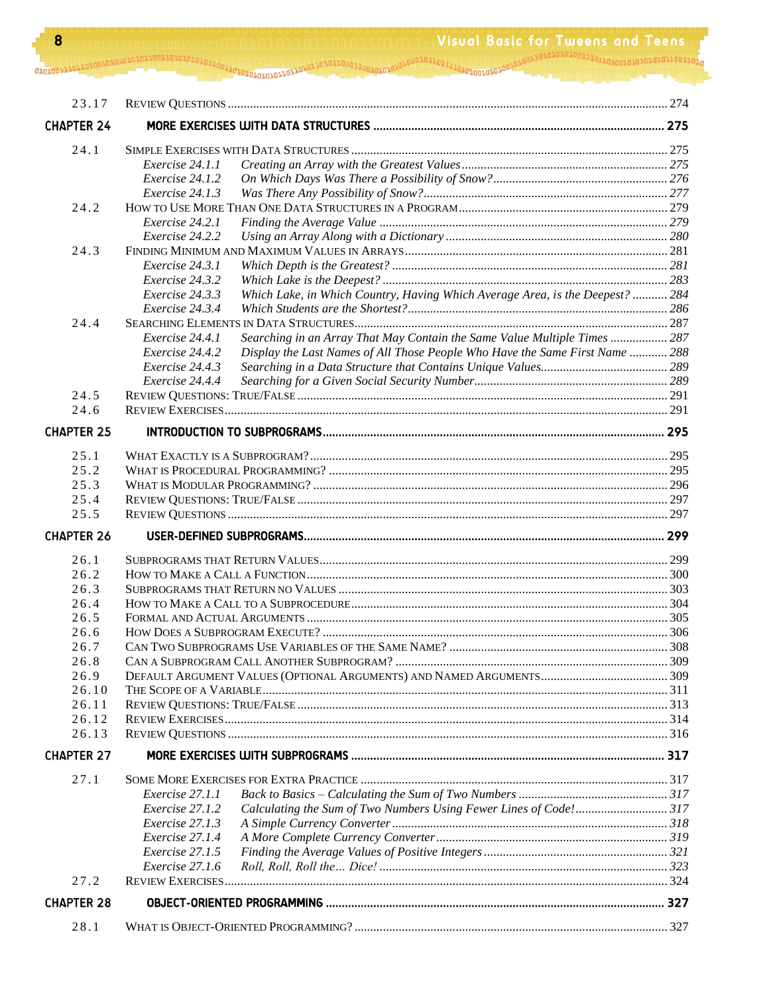| 23.17             |                                                                                                  |  |
|-------------------|--------------------------------------------------------------------------------------------------|--|
| <b>CHAPTER 24</b> |                                                                                                  |  |
| 24.1              |                                                                                                  |  |
|                   | Exercise 24.1.1                                                                                  |  |
|                   | Exercise 24.1.2                                                                                  |  |
|                   | Exercise 24.1.3                                                                                  |  |
| 24.2              |                                                                                                  |  |
|                   | Exercise 24.2.1                                                                                  |  |
|                   | Exercise 24.2.2                                                                                  |  |
| 24.3              |                                                                                                  |  |
|                   | Exercise 24.3.1                                                                                  |  |
|                   | Exercise 24.3.2                                                                                  |  |
|                   | Which Lake, in Which Country, Having Which Average Area, is the Deepest?  284<br>Exercise 24.3.3 |  |
| 24.4              | Exercise 24.3.4                                                                                  |  |
|                   | Searching in an Array That May Contain the Same Value Multiple Times  287<br>Exercise 24.4.1     |  |
|                   | Display the Last Names of All Those People Who Have the Same First Name  288<br>Exercise 24.4.2  |  |
|                   | Exercise 24.4.3                                                                                  |  |
|                   | Exercise 24.4.4                                                                                  |  |
| 24.5              |                                                                                                  |  |
| 24.6              |                                                                                                  |  |
| <b>CHAPTER 25</b> |                                                                                                  |  |
|                   |                                                                                                  |  |
| 25.1<br>25.2      |                                                                                                  |  |
| 25.3              |                                                                                                  |  |
| 25.4              |                                                                                                  |  |
| 25.5              |                                                                                                  |  |
| <b>CHAPTER 26</b> |                                                                                                  |  |
|                   |                                                                                                  |  |
| 26.1              |                                                                                                  |  |
| 26.2              |                                                                                                  |  |
| 26.3              |                                                                                                  |  |
| 26.4<br>26.5      |                                                                                                  |  |
| 26.6              |                                                                                                  |  |
| 26.7              |                                                                                                  |  |
| 26.8              |                                                                                                  |  |
| 26.9              |                                                                                                  |  |
| 26.10             |                                                                                                  |  |
| 26.11             |                                                                                                  |  |
| 26.12             |                                                                                                  |  |
| 26.13             |                                                                                                  |  |
| <b>CHAPTER 27</b> |                                                                                                  |  |
| 27.1              |                                                                                                  |  |
|                   | Exercise 27.1.1                                                                                  |  |
|                   | Calculating the Sum of Two Numbers Using Fewer Lines of Code!317<br>Exercise 27.1.2              |  |
|                   | Exercise 27.1.3                                                                                  |  |
|                   | Exercise 27.1.4                                                                                  |  |
|                   | Exercise 27.1.5                                                                                  |  |
|                   | Exercise 27.1.6                                                                                  |  |
| 27.2              |                                                                                                  |  |
| <b>CHAPTER 28</b> |                                                                                                  |  |
| 28.1              |                                                                                                  |  |